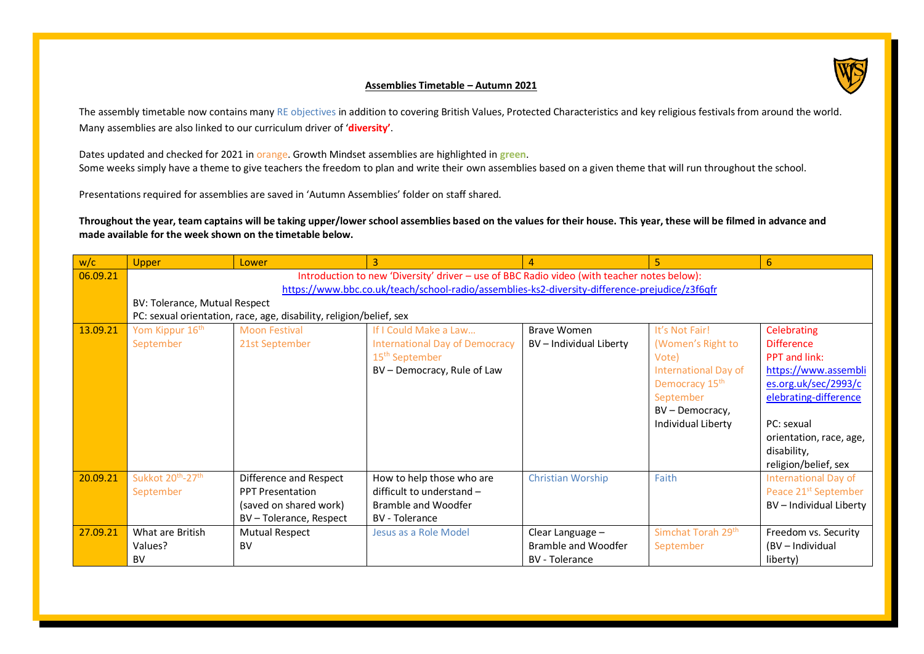

## **Assemblies Timetable – Autumn 2021**

The assembly timetable now contains many RE objectives in addition to covering British Values, Protected Characteristics and key religious festivals from around the world. Many assemblies are also linked to our curriculum driver of '**diversity'**.

Dates updated and checked for 2021 in orange. Growth Mindset assemblies are highlighted in **green**. Some weeks simply have a theme to give teachers the freedom to plan and write their own assemblies based on a given theme that will run throughout the school.

Presentations required for assemblies are saved in 'Autumn Assemblies' folder on staff shared.

**Throughout the year, team captains will be taking upper/lower school assemblies based on the values for their house. This year, these will be filmed in advance and made available for the week shown on the timetable below.**

| w/c      | <b>Upper</b>                                                                                   | Lower                         | 3                                     |                          | 5                              | 6                                |  |  |
|----------|------------------------------------------------------------------------------------------------|-------------------------------|---------------------------------------|--------------------------|--------------------------------|----------------------------------|--|--|
| 06.09.21 | Introduction to new 'Diversity' driver - use of BBC Radio video (with teacher notes below):    |                               |                                       |                          |                                |                                  |  |  |
|          | https://www.bbc.co.uk/teach/school-radio/assemblies-ks2-diversity-difference-prejudice/z3f6qfr |                               |                                       |                          |                                |                                  |  |  |
|          |                                                                                                | BV: Tolerance, Mutual Respect |                                       |                          |                                |                                  |  |  |
|          | PC: sexual orientation, race, age, disability, religion/belief, sex                            |                               |                                       |                          |                                |                                  |  |  |
| 13.09.21 | Yom Kippur 16 <sup>th</sup>                                                                    | <b>Moon Festival</b>          | If I Could Make a Law                 | <b>Brave Women</b>       | It's Not Fair!                 | Celebrating                      |  |  |
|          | September                                                                                      | 21st September                | <b>International Day of Democracy</b> | BV - Individual Liberty  | (Women's Right to              | <b>Difference</b>                |  |  |
|          |                                                                                                |                               | 15 <sup>th</sup> September            |                          | Vote)                          | <b>PPT</b> and link:             |  |  |
|          |                                                                                                |                               | BV – Democracy, Rule of Law           |                          | International Day of           | https://www.assembli             |  |  |
|          |                                                                                                |                               |                                       |                          | Democracy 15 <sup>th</sup>     | es.org.uk/sec/2993/c             |  |  |
|          |                                                                                                |                               |                                       |                          | September                      | elebrating-difference            |  |  |
|          |                                                                                                |                               |                                       |                          | BV - Democracy,                |                                  |  |  |
|          |                                                                                                |                               |                                       |                          | Individual Liberty             | PC: sexual                       |  |  |
|          |                                                                                                |                               |                                       |                          |                                | orientation, race, age,          |  |  |
|          |                                                                                                |                               |                                       |                          |                                | disability,                      |  |  |
|          |                                                                                                |                               |                                       |                          |                                | religion/belief, sex             |  |  |
| 20.09.21 | Sukkot 20 <sup>th</sup> -27 <sup>th</sup>                                                      | Difference and Respect        | How to help those who are             | <b>Christian Worship</b> | Faith                          | <b>International Day of</b>      |  |  |
|          | September                                                                                      | <b>PPT Presentation</b>       | difficult to understand -             |                          |                                | Peace 21 <sup>st</sup> September |  |  |
|          |                                                                                                | (saved on shared work)        | Bramble and Woodfer                   |                          |                                | BV - Individual Liberty          |  |  |
|          |                                                                                                | BV - Tolerance, Respect       | <b>BV</b> - Tolerance                 |                          |                                |                                  |  |  |
| 27.09.21 | What are British                                                                               | Mutual Respect                | Jesus as a Role Model                 | Clear Language -         | Simchat Torah 29 <sup>th</sup> | Freedom vs. Security             |  |  |
|          | Values?                                                                                        | BV                            |                                       | Bramble and Woodfer      | September                      | (BV - Individual                 |  |  |
|          | <b>BV</b>                                                                                      |                               |                                       | <b>BV</b> - Tolerance    |                                | liberty)                         |  |  |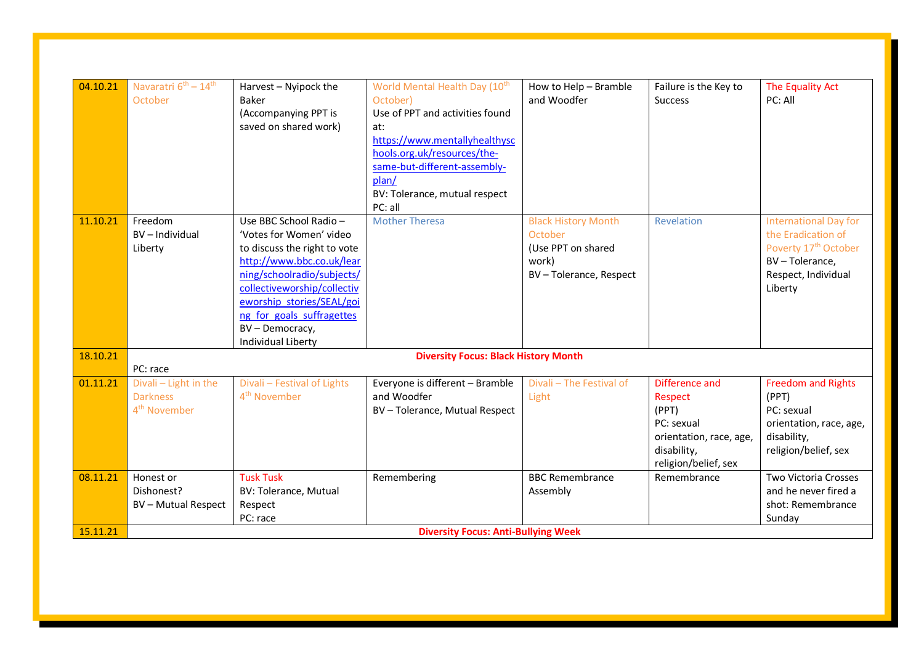| 04.10.21 | Navaratri 6 <sup>th</sup> - 14 <sup>th</sup> | Harvest - Nyipock the                       | World Mental Health Day (10 <sup>th</sup> | How to Help - Bramble      | Failure is the Key to   | The Equality Act                 |  |
|----------|----------------------------------------------|---------------------------------------------|-------------------------------------------|----------------------------|-------------------------|----------------------------------|--|
|          | October                                      | Baker                                       | October)                                  | and Woodfer                | <b>Success</b>          | PC: All                          |  |
|          |                                              | (Accompanying PPT is                        | Use of PPT and activities found           |                            |                         |                                  |  |
|          |                                              | saved on shared work)                       | at:                                       |                            |                         |                                  |  |
|          |                                              |                                             | https://www.mentallyhealthysc             |                            |                         |                                  |  |
|          |                                              |                                             | hools.org.uk/resources/the-               |                            |                         |                                  |  |
|          |                                              |                                             | same-but-different-assembly-              |                            |                         |                                  |  |
|          |                                              |                                             | plan/                                     |                            |                         |                                  |  |
|          |                                              |                                             | BV: Tolerance, mutual respect             |                            |                         |                                  |  |
|          |                                              |                                             | PC: all                                   |                            |                         |                                  |  |
| 11.10.21 | Freedom                                      | Use BBC School Radio-                       | <b>Mother Theresa</b>                     | <b>Black History Month</b> | Revelation              | <b>International Day for</b>     |  |
|          | BV-Individual                                | 'Votes for Women' video                     |                                           | October                    |                         | the Eradication of               |  |
|          | Liberty                                      | to discuss the right to vote                |                                           | (Use PPT on shared         |                         | Poverty 17 <sup>th</sup> October |  |
|          |                                              | http://www.bbc.co.uk/lear                   |                                           | work)                      |                         | BV-Tolerance,                    |  |
|          |                                              | ning/schoolradio/subjects/                  |                                           | BV-Tolerance, Respect      |                         | Respect, Individual              |  |
|          |                                              | collectiveworship/collectiv                 |                                           |                            |                         | Liberty                          |  |
|          |                                              | eworship stories/SEAL/goi                   |                                           |                            |                         |                                  |  |
|          |                                              | ng_for_goals_suffragettes                   |                                           |                            |                         |                                  |  |
|          |                                              | BV - Democracy,                             |                                           |                            |                         |                                  |  |
|          |                                              | Individual Liberty                          |                                           |                            |                         |                                  |  |
| 18.10.21 |                                              | <b>Diversity Focus: Black History Month</b> |                                           |                            |                         |                                  |  |
|          | PC: race                                     |                                             |                                           |                            |                         |                                  |  |
| 01.11.21 | Divali - Light in the                        | Divali - Festival of Lights                 | Everyone is different - Bramble           | Divali - The Festival of   | Difference and          | <b>Freedom and Rights</b>        |  |
|          | <b>Darkness</b>                              | 4 <sup>th</sup> November                    | and Woodfer                               | Light                      | Respect                 | (PPT)                            |  |
|          | 4 <sup>th</sup> November                     |                                             | BV - Tolerance, Mutual Respect            |                            | (PPT)                   | PC: sexual                       |  |
|          |                                              |                                             |                                           |                            | PC: sexual              | orientation, race, age,          |  |
|          |                                              |                                             |                                           |                            | orientation, race, age, | disability,                      |  |
|          |                                              |                                             |                                           |                            | disability,             | religion/belief, sex             |  |
|          |                                              |                                             |                                           |                            | religion/belief, sex    |                                  |  |
| 08.11.21 | Honest or                                    | <b>Tusk Tusk</b>                            | Remembering                               | <b>BBC Remembrance</b>     | Remembrance             | Two Victoria Crosses             |  |
|          | Dishonest?                                   | <b>BV: Tolerance, Mutual</b>                |                                           | Assembly                   |                         | and he never fired a             |  |
|          | <b>BV-Mutual Respect</b>                     | Respect                                     |                                           |                            |                         | shot: Remembrance                |  |
|          |                                              | PC: race                                    |                                           |                            |                         | Sunday                           |  |
| 15.11.21 | <b>Diversity Focus: Anti-Bullying Week</b>   |                                             |                                           |                            |                         |                                  |  |